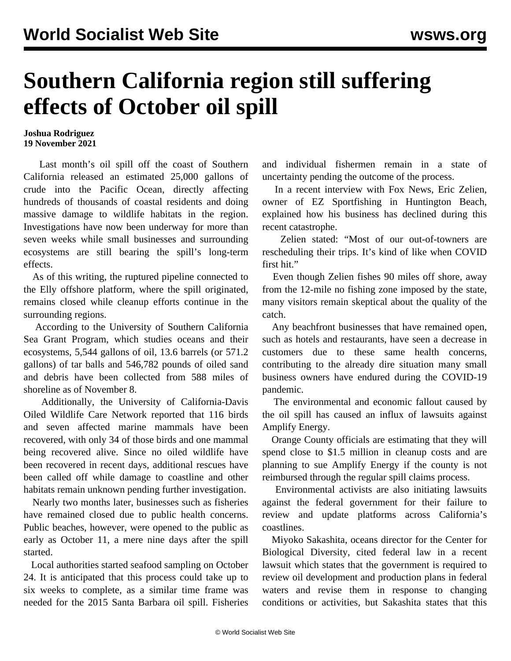## **Southern California region still suffering effects of October oil spill**

## **Joshua Rodriguez 19 November 2021**

 Last month's oil spill off the coast of Southern California released an estimated 25,000 gallons of crude into the Pacific Ocean, directly affecting hundreds of thousands of coastal residents and doing massive damage to wildlife habitats in the region. Investigations have now been underway for more than seven weeks while small businesses and surrounding ecosystems are still bearing the spill's long-term effects.

 As of this writing, the ruptured pipeline connected to the Elly offshore platform, where the spill originated, remains closed while cleanup efforts continue in the surrounding regions.

 According to the University of Southern California Sea Grant Program, which studies oceans and their ecosystems, 5,544 gallons of oil, 13.6 barrels (or 571.2 gallons) of tar balls and 546,782 pounds of oiled sand and debris have been collected from 588 miles of shoreline as of November 8.

 Additionally, the University of California-Davis Oiled Wildlife Care Network reported that 116 birds and seven affected marine mammals have been recovered, with only 34 of those birds and one mammal being recovered alive. Since no oiled wildlife have been recovered in recent days, additional rescues have been called off while damage to coastline and other habitats remain unknown pending further investigation.

 Nearly two months later, businesses such as fisheries have remained closed due to public health concerns. Public beaches, however, were opened to the public as early as October 11, a mere nine days after the spill started.

 Local authorities started seafood sampling on October 24. It is anticipated that this process could take up to six weeks to complete, as a similar time frame was needed for the 2015 Santa Barbara oil spill. Fisheries and individual fishermen remain in a state of uncertainty pending the outcome of the process.

 In a recent interview with Fox News, Eric Zelien, owner of EZ Sportfishing in Huntington Beach, explained how his business has declined during this recent catastrophe.

 Zelien stated: "Most of our out-of-towners are rescheduling their trips. It's kind of like when COVID first hit."

 Even though Zelien fishes 90 miles off shore, away from the 12-mile no fishing zone imposed by the state, many visitors remain skeptical about the quality of the catch.

 Any beachfront businesses that have remained open, such as hotels and restaurants, have seen a decrease in customers due to these same health concerns, contributing to the already dire situation many small business owners have endured during the COVID-19 pandemic.

 The environmental and economic fallout caused by the oil spill has caused an influx of lawsuits against Amplify Energy.

 Orange County officials are estimating that they will spend close to \$1.5 million in cleanup costs and are planning to sue Amplify Energy if the county is not reimbursed through the regular spill claims process.

 Environmental activists are also initiating lawsuits against the federal government for their failure to review and update platforms across California's coastlines.

 Miyoko Sakashita, oceans director for the Center for Biological Diversity, cited federal law in a recent lawsuit which states that the government is required to review oil development and production plans in federal waters and revise them in response to changing conditions or activities, but Sakashita states that this